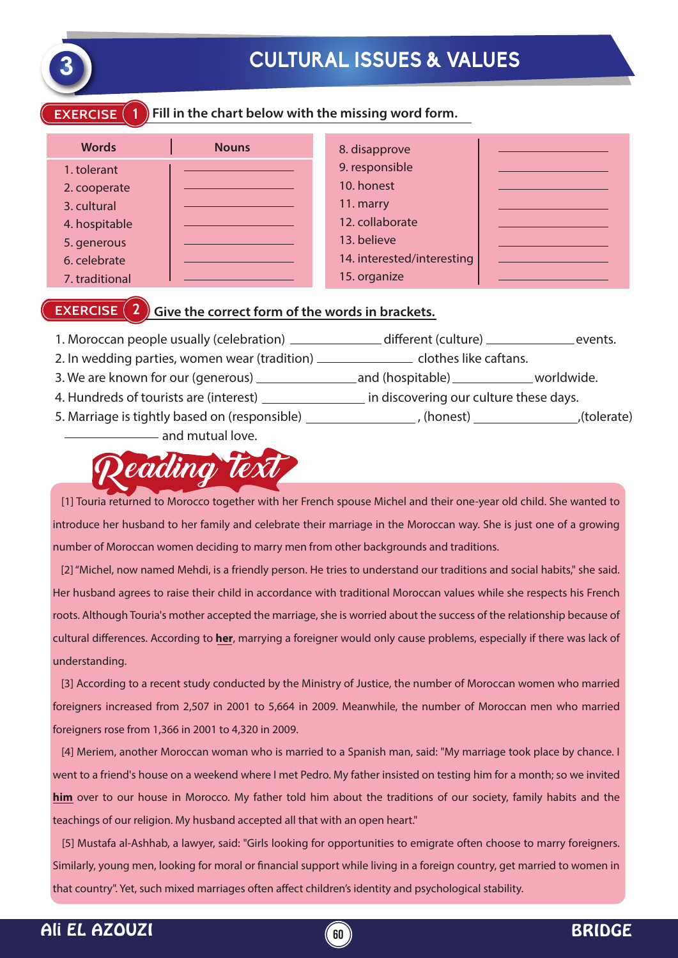

# **3 CULTURAL ISSUES & VALUES**

#### **EXERCISE 1 Fill in the chart below with the missing word form.**

| <b>Words</b>   | <b>Nouns</b> | 8. disapprove              |  |
|----------------|--------------|----------------------------|--|
| 1. tolerant    |              | 9. responsible             |  |
| 2. cooperate   |              | 10. honest                 |  |
| 3. cultural    |              | 11. marry                  |  |
| 4. hospitable  |              | 12. collaborate            |  |
| 5. generous    |              | 13. believe                |  |
| 6. celebrate   |              | 14. interested/interesting |  |
| 7. traditional |              | 15. organize               |  |

#### **EXERCISE (2)** Give the correct form of the words in brackets.

- 1. Moroccan people usually (celebration) \_\_\_\_\_\_\_\_\_\_\_\_\_\_ different (culture) \_\_\_\_\_\_\_\_\_\_\_\_\_\_\_events.
- 2. In wedding parties, women wear (tradition) \_\_\_\_\_\_\_\_\_\_\_\_\_\_\_\_\_\_\_\_\_ clothes like caftans.
- 3. We are known for our (generous) and (hospitable) worldwide.
- 4. Hundreds of tourists are (interest) \_\_\_\_\_\_\_\_\_\_\_\_\_\_\_ in discovering our culture these days.
- 5. Marriage is tightly based on (responsible) (honest) (honest) (folerate) and mutual love.



 [1] Touria returned to Morocco together with her French spouse Michel and their one-year old child. She wanted to introduce her husband to her family and celebrate their marriage in the Moroccan way. She is just one of a growing number of Moroccan women deciding to marry men from other backgrounds and traditions.

 [2] "Michel, now named Mehdi, is a friendly person. He tries to understand our traditions and social habits," she said. Her husband agrees to raise their child in accordance with traditional Moroccan values while she respects his French roots. Although Touria's mother accepted the marriage, she is worried about the success of the relationship because of cultural differences. According to **her**, marrying a foreigner would only cause problems, especially if there was lack of understanding.

 [3] According to a recent study conducted by the Ministry of Justice, the number of Moroccan women who married foreigners increased from 2,507 in 2001 to 5,664 in 2009. Meanwhile, the number of Moroccan men who married foreigners rose from 1,366 in 2001 to 4,320 in 2009.

 [4] Meriem, another Moroccan woman who is married to a Spanish man, said: "My marriage took place by chance. I went to a friend's house on a weekend where I met Pedro. My father insisted on testing him for a month; so we invited **him** over to our house in Morocco. My father told him about the traditions of our society, family habits and the teachings of our religion. My husband accepted all that with an open heart."

 [5] Mustafa al-Ashhab, a lawyer, said: "Girls looking for opportunities to emigrate often choose to marry foreigners. Similarly, young men, looking for moral or financial support while living in a foreign country, get married to women in that country". Yet, such mixed marriages often affect children's identity and psychological stability.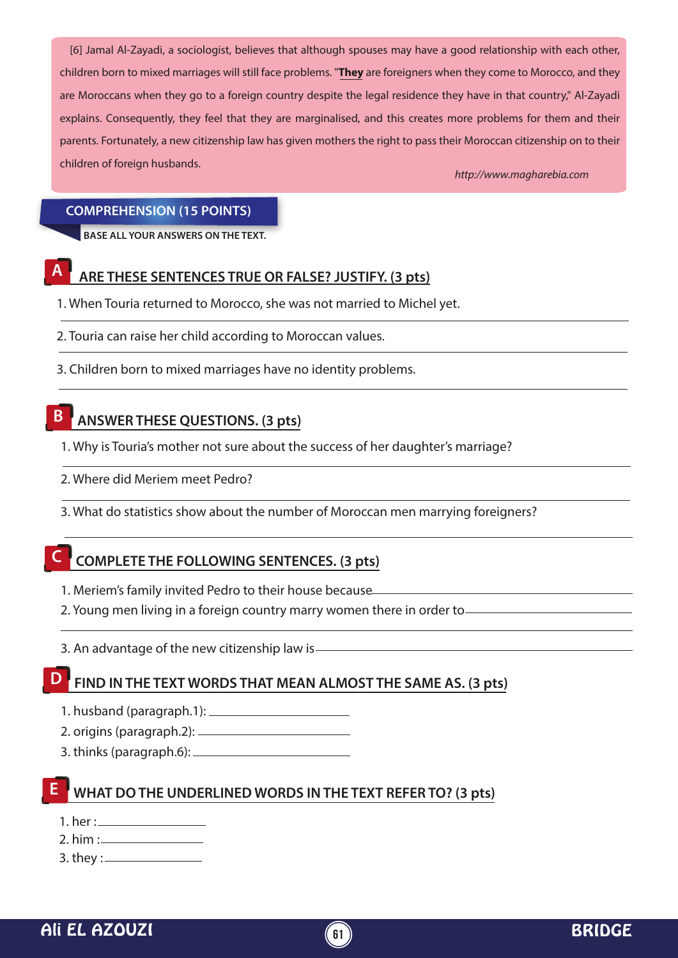[6] Jamal Al-Zayadi, a sociologist, believes that although spouses may have a good relationship with each other, children born to mixed marriages will still face problems. "**They** are foreigners when they come to Morocco, and they are Moroccans when they go to a foreign country despite the legal residence they have in that country." Al-Zayadi explains. Consequently, they feel that they are marginalised, and this creates more problems for them and their parents. Fortunately, a new citizenship law has given mothers the right to pass their Moroccan citizenship on to their children of foreign husbands.

*http://www.magharebia.com*

#### **COMPREHENSION (15 POINTS)**

**BASE ALL YOUR ANSWERS ON THE TEXT.**

### **ARE THESE SENTENCES TRUE OR FALSE? JUSTIFY. (3 pts) A**

1. When Touria returned to Morocco, she was not married to Michel yet.

- 2. Touria can raise her child according to Moroccan values.
- 3. Children born to mixed marriages have no identity problems.

#### **ANSWER THESE QUESTIONS. (3 pts) B**

- 1. Why is Touria's mother not sure about the success of her daughter's marriage?
- 2. Where did Meriem meet Pedro?
- 3. What do statistics show about the number of Moroccan men marrying foreigners?

## **C COMPLETE THE FOLLOWING SENTENCES. (3 pts)**

- 1. Meriem's family invited Pedro to their house because
- 2. Young men living in a foreign country marry women there in order to
- 3. An advantage of the new citizenship law is

## **D FIND IN THE TEXT WORDS THAT MEAN ALMOST THE SAME AS. (3 pts)**

- 1. husband (paragraph.1):
- 2. origins (paragraph.2):
- 3. thinks (paragraph.6):

# **E WHAT DO THE UNDERLINED WORDS IN THE TEXT REFER TO? (3 pts)**

- 1. her :
- 2. him  $:=$

3. they :